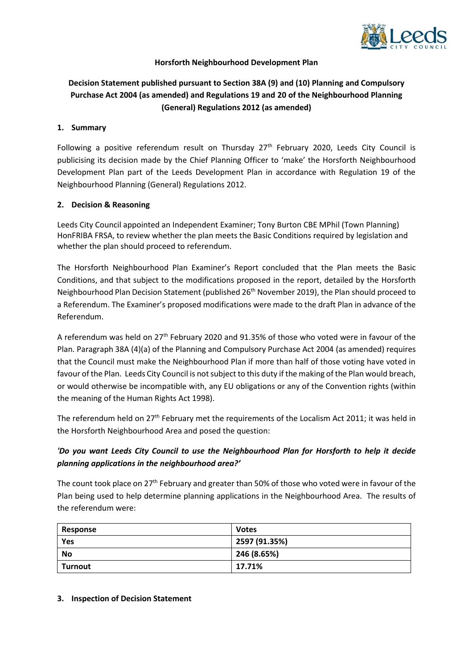

### **Horsforth Neighbourhood Development Plan**

# **Decision Statement published pursuant to Section 38A (9) and (10) Planning and Compulsory Purchase Act 2004 (as amended) and Regulations 19 and 20 of the Neighbourhood Planning (General) Regulations 2012 (as amended)**

#### **1. Summary**

Following a positive referendum result on Thursday 27<sup>th</sup> February 2020, Leeds City Council is publicising its decision made by the Chief Planning Officer to 'make' the Horsforth Neighbourhood Development Plan part of the Leeds Development Plan in accordance with Regulation 19 of the Neighbourhood Planning (General) Regulations 2012.

### **2. Decision & Reasoning**

Leeds City Council appointed an Independent Examiner; Tony Burton CBE MPhil (Town Planning) HonFRIBA FRSA, to review whether the plan meets the Basic Conditions required by legislation and whether the plan should proceed to referendum.

The Horsforth Neighbourhood Plan Examiner's Report concluded that the Plan meets the Basic Conditions, and that subject to the modifications proposed in the report, detailed by the Horsforth Neighbourhood Plan Decision Statement (published 26<sup>th</sup> November 2019), the Plan should proceed to a Referendum. The Examiner's proposed modifications were made to the draft Plan in advance of the Referendum.

A referendum was held on 27<sup>th</sup> February 2020 and 91.35% of those who voted were in favour of the Plan. Paragraph 38A (4)(a) of the Planning and Compulsory Purchase Act 2004 (as amended) requires that the Council must make the Neighbourhood Plan if more than half of those voting have voted in favour of the Plan. Leeds City Council is not subject to this duty if the making of the Plan would breach, or would otherwise be incompatible with, any EU obligations or any of the Convention rights (within the meaning of the Human Rights Act 1998).

The referendum held on 27<sup>th</sup> February met the requirements of the Localism Act 2011; it was held in the Horsforth Neighbourhood Area and posed the question:

## *'Do you want Leeds City Council to use the Neighbourhood Plan for Horsforth to help it decide planning applications in the neighbourhood area?'*

The count took place on 27<sup>th</sup> February and greater than 50% of those who voted were in favour of the Plan being used to help determine planning applications in the Neighbourhood Area. The results of the referendum were:

| Response | <b>Votes</b>  |
|----------|---------------|
| Yes      | 2597 (91.35%) |
| No       | 246 (8.65%)   |
| Turnout  | 17.71%        |

#### **3. Inspection of Decision Statement**